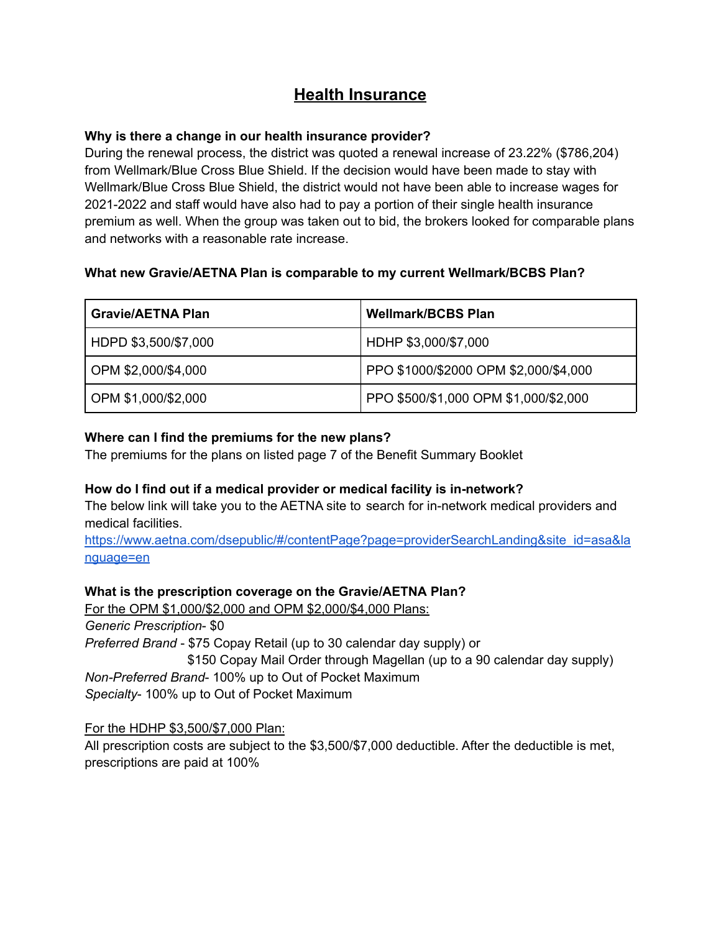# **Health Insurance**

### **Why is there a change in our health insurance provider?**

During the renewal process, the district was quoted a renewal increase of 23.22% (\$786,204) from Wellmark/Blue Cross Blue Shield. If the decision would have been made to stay with Wellmark/Blue Cross Blue Shield, the district would not have been able to increase wages for 2021-2022 and staff would have also had to pay a portion of their single health insurance premium as well. When the group was taken out to bid, the brokers looked for comparable plans and networks with a reasonable rate increase.

# **What new Gravie/AETNA Plan is comparable to my current Wellmark/BCBS Plan?**

| <b>Gravie/AETNA Plan</b> | <b>Wellmark/BCBS Plan</b>             |
|--------------------------|---------------------------------------|
| HDPD \$3,500/\$7,000     | HDHP \$3,000/\$7,000                  |
| OPM \$2,000/\$4,000      | PPO \$1000/\$2000 OPM \$2,000/\$4,000 |
| OPM \$1,000/\$2,000      | PPO \$500/\$1,000 OPM \$1,000/\$2,000 |

# **Where can I find the premiums for the new plans?**

The premiums for the plans on listed page 7 of the Benefit Summary Booklet

# **How do I find out if a medical provider or medical facility is in-network?**

The below link will take you to the AETNA site to search for in-network medical providers and medical facilities.

https://www.aetna.com/dsepublic/#/contentPage?page=providerSearchLanding&site\_id=asa&la nguage=en

# **What is the prescription coverage on the Gravie/AETNA Plan?**

For the OPM \$1,000/\$2,000 and OPM \$2,000/\$4,000 Plans:

*Generic Prescription*- \$0

*Preferred Brand* - \$75 Copay Retail (up to 30 calendar day supply) or

\$150 Copay Mail Order through Magellan (up to a 90 calendar day supply) *Non-Preferred Brand*- 100% up to Out of Pocket Maximum *Specialty*- 100% up to Out of Pocket Maximum

# For the HDHP \$3,500/\$7,000 Plan:

All prescription costs are subject to the \$3,500/\$7,000 deductible. After the deductible is met, prescriptions are paid at 100%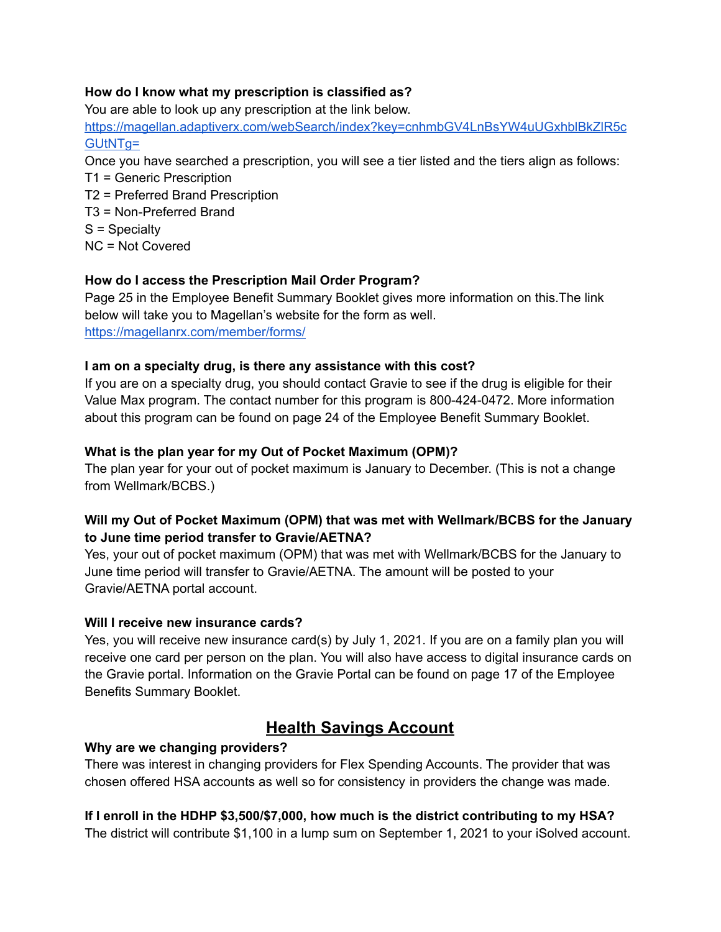### **How do I know what my prescription is classified as?**

You are able to look up any prescription at the link below. https://magellan.adaptiverx.com/webSearch/index?key=cnhmbGV4LnBsYW4uUGxhblBkZlR5c GUtNTg= Once you have searched a prescription, you will see a tier listed and the tiers align as follows:

T1 = Generic Prescription T2 = Preferred Brand Prescription T3 = Non-Preferred Brand S = Specialty NC = Not Covered

# **How do I access the Prescription Mail Order Program?**

Page 25 in the Employee Benefit Summary Booklet gives more information on this.The link below will take you to Magellan's website for the form as well. https://magellanrx.com/member/forms/

# **I am on a specialty drug, is there any assistance with this cost?**

If you are on a specialty drug, you should contact Gravie to see if the drug is eligible for their Value Max program. The contact number for this program is 800-424-0472. More information about this program can be found on page 24 of the Employee Benefit Summary Booklet.

# **What is the plan year for my Out of Pocket Maximum (OPM)?**

The plan year for your out of pocket maximum is January to December. (This is not a change from Wellmark/BCBS.)

# **Will my Out of Pocket Maximum (OPM) that was met with Wellmark/BCBS for the January to June time period transfer to Gravie/AETNA?**

Yes, your out of pocket maximum (OPM) that was met with Wellmark/BCBS for the January to June time period will transfer to Gravie/AETNA. The amount will be posted to your Gravie/AETNA portal account.

# **Will I receive new insurance cards?**

Yes, you will receive new insurance card(s) by July 1, 2021. If you are on a family plan you will receive one card per person on the plan. You will also have access to digital insurance cards on the Gravie portal. Information on the Gravie Portal can be found on page 17 of the Employee Benefits Summary Booklet.

# **Health Savings Account**

# **Why are we changing providers?**

There was interest in changing providers for Flex Spending Accounts. The provider that was chosen offered HSA accounts as well so for consistency in providers the change was made.

**If I enroll in the HDHP \$3,500/\$7,000, how much is the district contributing to my HSA?** The district will contribute \$1,100 in a lump sum on September 1, 2021 to your iSolved account.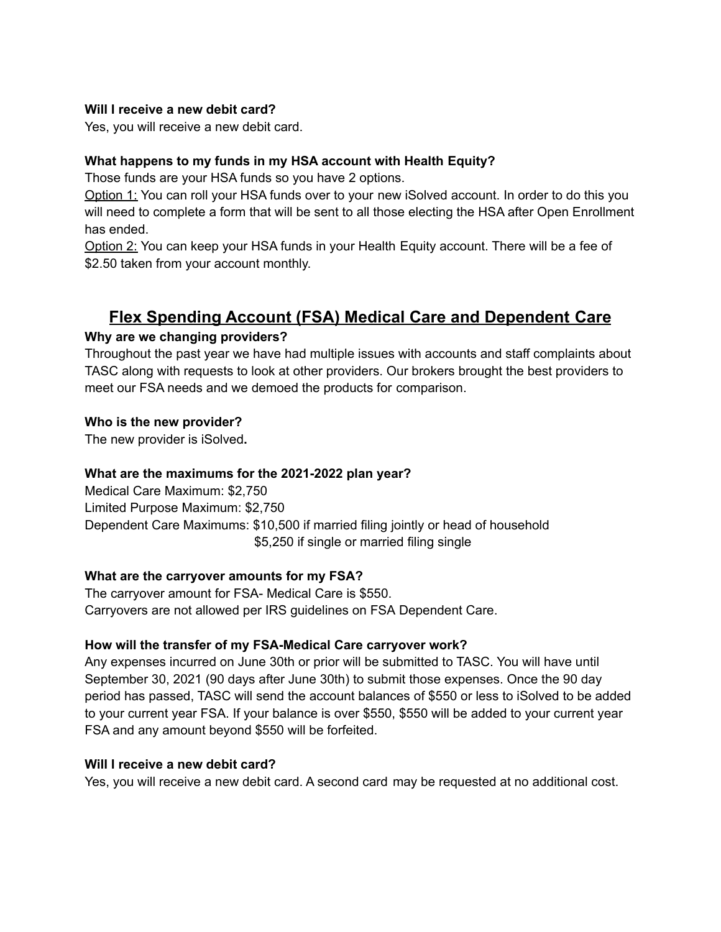### **Will I receive a new debit card?**

Yes, you will receive a new debit card.

# **What happens to my funds in my HSA account with Health Equity?**

Those funds are your HSA funds so you have 2 options.

Option 1: You can roll your HSA funds over to your new iSolved account. In order to do this you will need to complete a form that will be sent to all those electing the HSA after Open Enrollment has ended.

Option 2: You can keep your HSA funds in your Health Equity account. There will be a fee of \$2.50 taken from your account monthly.

# **Flex Spending Account (FSA) Medical Care and Dependent Care**

# **Why are we changing providers?**

Throughout the past year we have had multiple issues with accounts and staff complaints about TASC along with requests to look at other providers. Our brokers brought the best providers to meet our FSA needs and we demoed the products for comparison.

### **Who is the new provider?**

The new provider is iSolved**.**

### **What are the maximums for the 2021-2022 plan year?**

Medical Care Maximum: \$2,750 Limited Purpose Maximum: \$2,750 Dependent Care Maximums: \$10,500 if married filing jointly or head of household \$5,250 if single or married filing single

# **What are the carryover amounts for my FSA?**

The carryover amount for FSA- Medical Care is \$550. Carryovers are not allowed per IRS guidelines on FSA Dependent Care.

# **How will the transfer of my FSA-Medical Care carryover work?**

Any expenses incurred on June 30th or prior will be submitted to TASC. You will have until September 30, 2021 (90 days after June 30th) to submit those expenses. Once the 90 day period has passed, TASC will send the account balances of \$550 or less to iSolved to be added to your current year FSA. If your balance is over \$550, \$550 will be added to your current year FSA and any amount beyond \$550 will be forfeited.

### **Will I receive a new debit card?**

Yes, you will receive a new debit card. A second card may be requested at no additional cost.